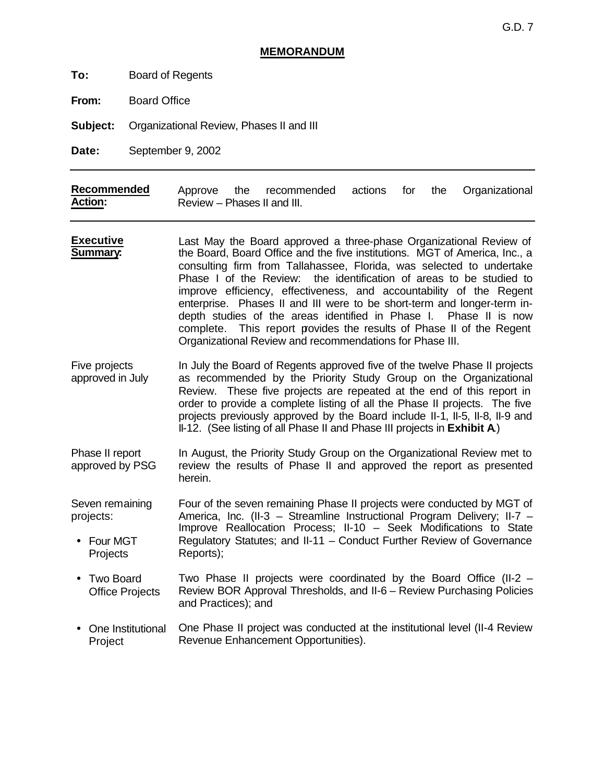## **MEMORANDUM**

**To:** Board of Regents

**From:** Board Office

**Subject:** Organizational Review, Phases II and III

**Date:** September 9, 2002

| Recommended    |                             | Approve the recommended actions for the Organizational |  |  |
|----------------|-----------------------------|--------------------------------------------------------|--|--|
| <b>Action:</b> | Review - Phases II and III. |                                                        |  |  |

- **Executive Summary:** Last May the Board approved a three-phase Organizational Review of the Board, Board Office and the five institutions. MGT of America, Inc., a consulting firm from Tallahassee, Florida, was selected to undertake Phase I of the Review: the identification of areas to be studied to improve efficiency, effectiveness, and accountability of the Regent enterprise. Phases II and III were to be short-term and longer-term indepth studies of the areas identified in Phase I. Phase II is now complete. This report provides the results of Phase II of the Regent Organizational Review and recommendations for Phase III.
- Five projects approved in July In July the Board of Regents approved five of the twelve Phase II projects as recommended by the Priority Study Group on the Organizational Review. These five projects are repeated at the end of this report in order to provide a complete listing of all the Phase II projects. The five projects previously approved by the Board include II-1, II-5, II-8, II-9 and II-12. (See listing of all Phase II and Phase III projects in **Exhibit A**.)
- Phase II report approved by PSG In August, the Priority Study Group on the Organizational Review met to review the results of Phase II and approved the report as presented herein.

Seven remaining projects: • Four MGT Projects Four of the seven remaining Phase II projects were conducted by MGT of America, Inc. (II-3 – Streamline Instructional Program Delivery; II-7 – Improve Reallocation Process; II-10 – Seek Modifications to State Regulatory Statutes; and II-11 – Conduct Further Review of Governance Reports);

- Two Board Office Projects Two Phase II projects were coordinated by the Board Office (II-2 – Review BOR Approval Thresholds, and II-6 – Review Purchasing Policies and Practices); and
- One Institutional Project One Phase II project was conducted at the institutional level (II-4 Review Revenue Enhancement Opportunities).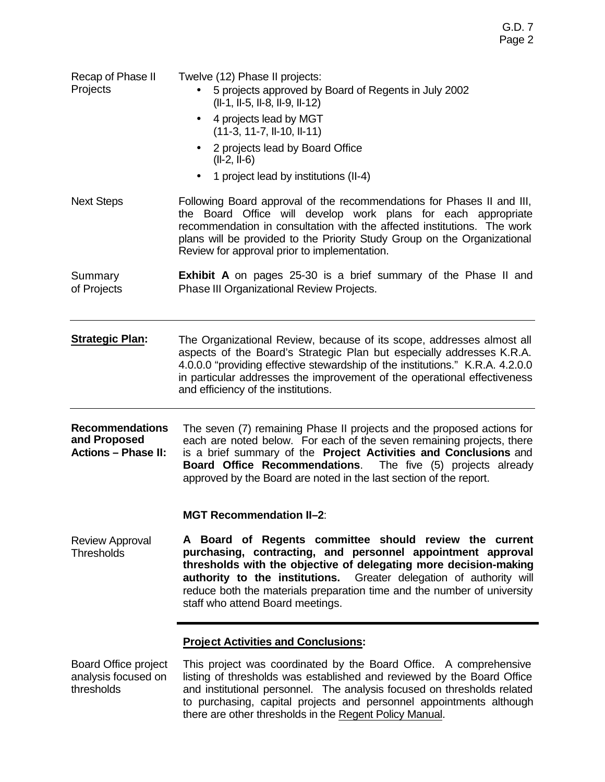| Recap of Phase II<br>Projects                                        | Twelve (12) Phase II projects:<br>5 projects approved by Board of Regents in July 2002<br>(II-1, II-5, II-8, II-9, II-12)<br>4 projects lead by MGT<br>$\bullet$<br>$(11-3, 11-7, II-10, II-11)$<br>2 projects lead by Board Office<br>$(II-2, II-6)$<br>1 project lead by institutions (II-4)<br>$\bullet$                                                                     |  |  |  |  |
|----------------------------------------------------------------------|---------------------------------------------------------------------------------------------------------------------------------------------------------------------------------------------------------------------------------------------------------------------------------------------------------------------------------------------------------------------------------|--|--|--|--|
| <b>Next Steps</b>                                                    | Following Board approval of the recommendations for Phases II and III,<br>the Board Office will develop work plans for each appropriate<br>recommendation in consultation with the affected institutions. The work<br>plans will be provided to the Priority Study Group on the Organizational<br>Review for approval prior to implementation.                                  |  |  |  |  |
| Summary<br>of Projects                                               | <b>Exhibit A</b> on pages 25-30 is a brief summary of the Phase II and<br>Phase III Organizational Review Projects.                                                                                                                                                                                                                                                             |  |  |  |  |
| <b>Strategic Plan:</b>                                               | The Organizational Review, because of its scope, addresses almost all<br>aspects of the Board's Strategic Plan but especially addresses K.R.A.<br>4.0.0.0 "providing effective stewardship of the institutions." K.R.A. 4.2.0.0<br>in particular addresses the improvement of the operational effectiveness<br>and efficiency of the institutions.                              |  |  |  |  |
| <b>Recommendations</b><br>and Proposed<br><b>Actions - Phase II:</b> | The seven (7) remaining Phase II projects and the proposed actions for<br>each are noted below. For each of the seven remaining projects, there<br>is a brief summary of the Project Activities and Conclusions and<br><b>Board Office Recommendations.</b> The five (5) projects already<br>approved by the Board are noted in the last section of the report.                 |  |  |  |  |
|                                                                      | <b>MGT Recommendation II-2:</b>                                                                                                                                                                                                                                                                                                                                                 |  |  |  |  |
| <b>Review Approval</b><br><b>Thresholds</b>                          | A Board of Regents committee should review the current<br>purchasing, contracting, and personnel appointment approval<br>thresholds with the objective of delegating more decision-making<br>authority to the institutions. Greater delegation of authority will<br>reduce both the materials preparation time and the number of university<br>staff who attend Board meetings. |  |  |  |  |
|                                                                      | <b>Project Activities and Conclusions:</b>                                                                                                                                                                                                                                                                                                                                      |  |  |  |  |
| <b>Board Office project</b><br>analysis focused on<br>thresholds     | This project was coordinated by the Board Office. A comprehensive<br>listing of thresholds was established and reviewed by the Board Office<br>and institutional personnel. The analysis focused on thresholds related                                                                                                                                                          |  |  |  |  |

and institutional personnel. The analysis focused on thresholds related to purchasing, capital projects and personnel appointments although there are other thresholds in the Regent Policy Manual.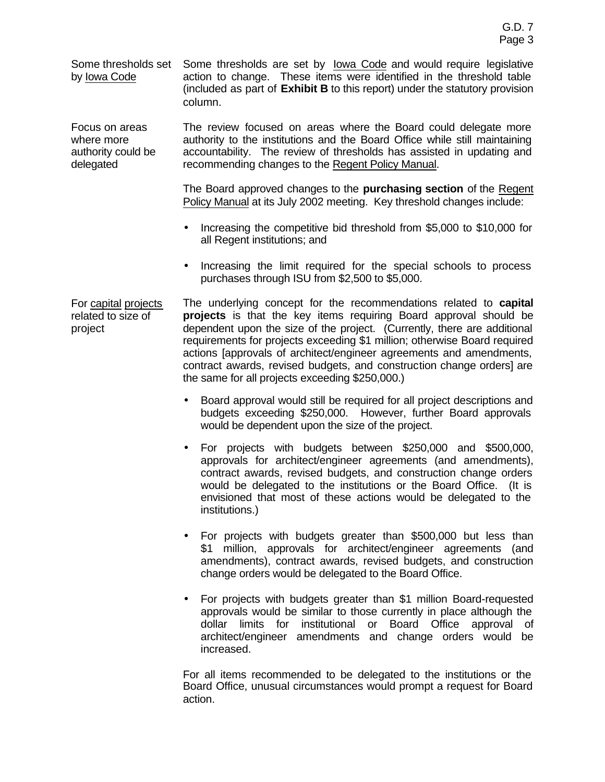Some thresholds set by Iowa Code

Focus on areas where more authority could be delegated

Some thresholds are set by Iowa Code and would require legislative action to change. These items were identified in the threshold table (included as part of **Exhibit B** to this report) under the statutory provision column.

The review focused on areas where the Board could delegate more authority to the institutions and the Board Office while still maintaining accountability. The review of thresholds has assisted in updating and recommending changes to the Regent Policy Manual.

The Board approved changes to the **purchasing section** of the Regent Policy Manual at its July 2002 meeting. Key threshold changes include:

- Increasing the competitive bid threshold from \$5,000 to \$10,000 for all Regent institutions; and
- Increasing the limit required for the special schools to process purchases through ISU from \$2,500 to \$5,000.

For capital projects related to size of project The underlying concept for the recommendations related to **capital projects** is that the key items requiring Board approval should be dependent upon the size of the project. (Currently, there are additional requirements for projects exceeding \$1 million; otherwise Board required actions [approvals of architect/engineer agreements and amendments, contract awards, revised budgets, and construction change orders] are the same for all projects exceeding \$250,000.)

- Board approval would still be required for all project descriptions and budgets exceeding \$250,000. However, further Board approvals would be dependent upon the size of the project.
- For projects with budgets between \$250,000 and \$500,000, approvals for architect/engineer agreements (and amendments), contract awards, revised budgets, and construction change orders would be delegated to the institutions or the Board Office. (It is envisioned that most of these actions would be delegated to the institutions.)
- For projects with budgets greater than \$500,000 but less than \$1 million, approvals for architect/engineer agreements (and amendments), contract awards, revised budgets, and construction change orders would be delegated to the Board Office.
- For projects with budgets greater than \$1 million Board-requested approvals would be similar to those currently in place although the dollar limits for institutional or Board Office approval of architect/engineer amendments and change orders would be increased.

For all items recommended to be delegated to the institutions or the Board Office, unusual circumstances would prompt a request for Board action.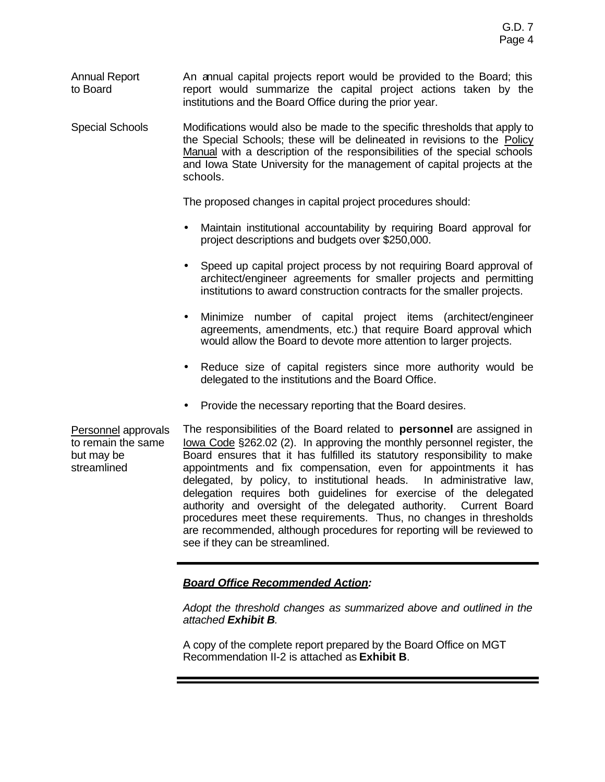Annual Report to Board An annual capital projects report would be provided to the Board; this report would summarize the capital project actions taken by the institutions and the Board Office during the prior year.

Special Schools Modifications would also be made to the specific thresholds that apply to the Special Schools; these will be delineated in revisions to the Policy Manual with a description of the responsibilities of the special schools and Iowa State University for the management of capital projects at the schools.

The proposed changes in capital project procedures should:

- Maintain institutional accountability by requiring Board approval for project descriptions and budgets over \$250,000.
- Speed up capital project process by not requiring Board approval of architect/engineer agreements for smaller projects and permitting institutions to award construction contracts for the smaller projects.
- Minimize number of capital project items (architect/engineer agreements, amendments, etc.) that require Board approval which would allow the Board to devote more attention to larger projects.
- Reduce size of capital registers since more authority would be delegated to the institutions and the Board Office.
- Provide the necessary reporting that the Board desires.

Personnel approvals to remain the same but may be streamlined The responsibilities of the Board related to **personnel** are assigned in Iowa Code §262.02 (2). In approving the monthly personnel register, the Board ensures that it has fulfilled its statutory responsibility to make appointments and fix compensation, even for appointments it has delegated, by policy, to institutional heads. In administrative law, delegation requires both guidelines for exercise of the delegated authority and oversight of the delegated authority. Current Board procedures meet these requirements. Thus, no changes in thresholds are recommended, although procedures for reporting will be reviewed to see if they can be streamlined.

# *Board Office Recommended Action:*

*Adopt the threshold changes as summarized above and outlined in the attached Exhibit B.*

A copy of the complete report prepared by the Board Office on MGT Recommendation II-2 is attached as **Exhibit B**.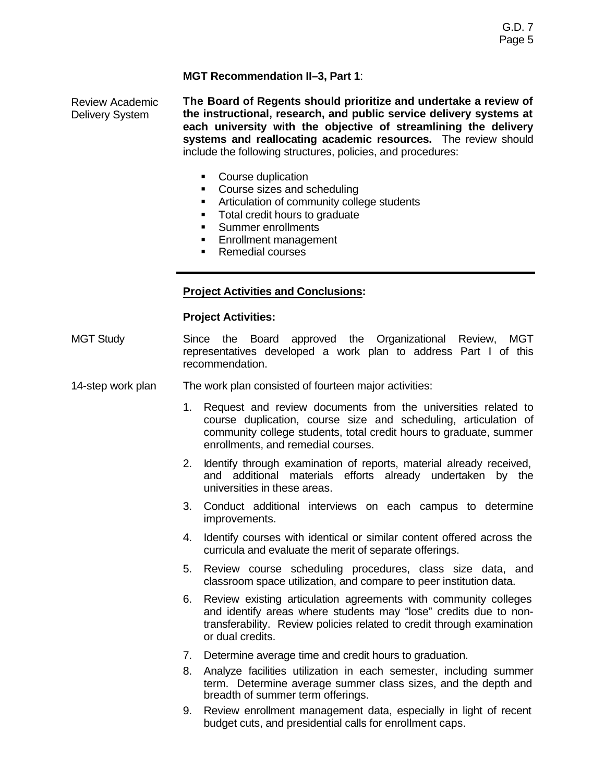# **MGT Recommendation II–3, Part 1**:

Review Academic Delivery System

**The Board of Regents should prioritize and undertake a review of the instructional, research, and public service delivery systems at each university with the objective of streamlining the delivery systems and reallocating academic resources.** The review should include the following structures, policies, and procedures:

- Course duplication
- Course sizes and scheduling
- **EXECUTE:** Articulation of community college students
- Total credit hours to graduate
- **Summer enrollments**
- **Enrollment management**
- Remedial courses

## **Project Activities and Conclusions:**

### **Project Activities:**

- MGT Study Since the Board approved the Organizational Review, MGT representatives developed a work plan to address Part I of this recommendation.
- 14-step work plan The work plan consisted of fourteen major activities:
	- 1. Request and review documents from the universities related to course duplication, course size and scheduling, articulation of community college students, total credit hours to graduate, summer enrollments, and remedial courses.
	- 2. Identify through examination of reports, material already received, and additional materials efforts already undertaken by the universities in these areas.
	- 3. Conduct additional interviews on each campus to determine improvements.
	- 4. Identify courses with identical or similar content offered across the curricula and evaluate the merit of separate offerings.
	- 5. Review course scheduling procedures, class size data, and classroom space utilization, and compare to peer institution data.
	- 6. Review existing articulation agreements with community colleges and identify areas where students may "lose" credits due to nontransferability. Review policies related to credit through examination or dual credits.
	- 7. Determine average time and credit hours to graduation.
	- 8. Analyze facilities utilization in each semester, including summer term. Determine average summer class sizes, and the depth and breadth of summer term offerings.
	- 9. Review enrollment management data, especially in light of recent budget cuts, and presidential calls for enrollment caps.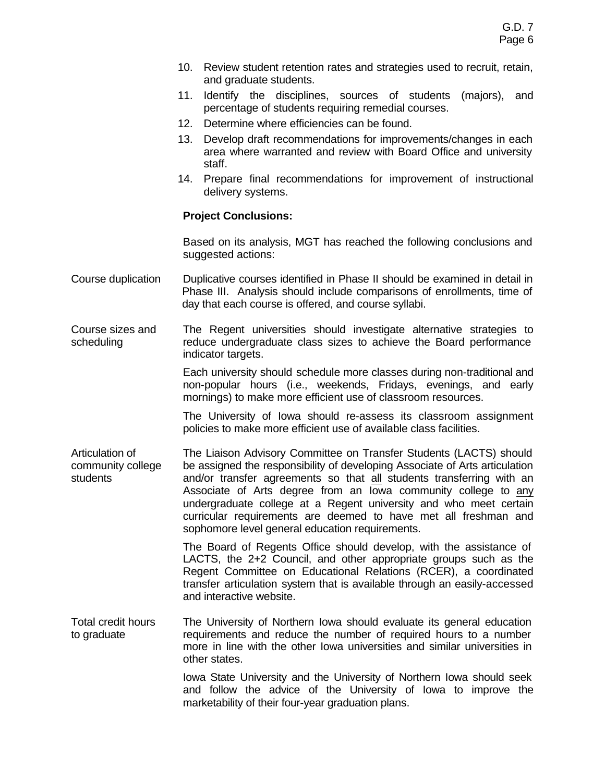- 10. Review student retention rates and strategies used to recruit, retain, and graduate students.
- 11. Identify the disciplines, sources of students (majors), and percentage of students requiring remedial courses.
- 12. Determine where efficiencies can be found.
- 13. Develop draft recommendations for improvements/changes in each area where warranted and review with Board Office and university staff.
- 14. Prepare final recommendations for improvement of instructional delivery systems.

#### **Project Conclusions:**

Based on its analysis, MGT has reached the following conclusions and suggested actions:

- Course duplication Duplicative courses identified in Phase II should be examined in detail in Phase III. Analysis should include comparisons of enrollments, time of day that each course is offered, and course syllabi.
- Course sizes and scheduling The Regent universities should investigate alternative strategies to reduce undergraduate class sizes to achieve the Board performance indicator targets.

Each university should schedule more classes during non-traditional and non-popular hours (i.e., weekends, Fridays, evenings, and early mornings) to make more efficient use of classroom resources.

The University of Iowa should re-assess its classroom assignment policies to make more efficient use of available class facilities.

Articulation of community college students The Liaison Advisory Committee on Transfer Students (LACTS) should be assigned the responsibility of developing Associate of Arts articulation and/or transfer agreements so that all students transferring with an Associate of Arts degree from an Iowa community college to any undergraduate college at a Regent university and who meet certain curricular requirements are deemed to have met all freshman and sophomore level general education requirements.

> The Board of Regents Office should develop, with the assistance of LACTS, the 2+2 Council, and other appropriate groups such as the Regent Committee on Educational Relations (RCER), a coordinated transfer articulation system that is available through an easily-accessed and interactive website.

Total credit hours to graduate The University of Northern Iowa should evaluate its general education requirements and reduce the number of required hours to a number more in line with the other Iowa universities and similar universities in other states.

> Iowa State University and the University of Northern Iowa should seek and follow the advice of the University of Iowa to improve the marketability of their four-year graduation plans.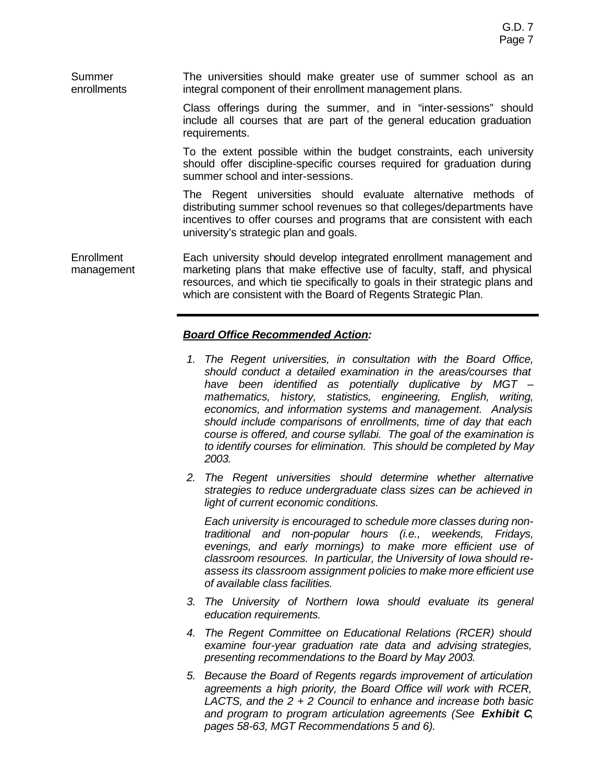#### Summer enrollments The universities should make greater use of summer school as an integral component of their enrollment management plans.

Class offerings during the summer, and in "inter-sessions" should include all courses that are part of the general education graduation requirements.

To the extent possible within the budget constraints, each university should offer discipline-specific courses required for graduation during summer school and inter-sessions.

The Regent universities should evaluate alternative methods of distributing summer school revenues so that colleges/departments have incentives to offer courses and programs that are consistent with each university's strategic plan and goals.

**Enrollment** management Each university should develop integrated enrollment management and marketing plans that make effective use of faculty, staff, and physical resources, and which tie specifically to goals in their strategic plans and which are consistent with the Board of Regents Strategic Plan.

# *Board Office Recommended Action:*

- *1. The Regent universities, in consultation with the Board Office, should conduct a detailed examination in the areas/courses that have been identified as potentially duplicative by MGT – mathematics, history, statistics, engineering, English, writing, economics, and information systems and management. Analysis should include comparisons of enrollments, time of day that each course is offered, and course syllabi. The goal of the examination is to identify courses for elimination. This should be completed by May 2003.*
- *2. The Regent universities should determine whether alternative strategies to reduce undergraduate class sizes can be achieved in light of current economic conditions.*

*Each university is encouraged to schedule more classes during nontraditional and non-popular hours (i.e., weekends, Fridays, evenings, and early mornings) to make more efficient use of classroom resources. In particular, the University of Iowa should reassess its classroom assignment policies to make more efficient use of available class facilities.*

- *3. The University of Northern Iowa should evaluate its general education requirements.*
- *4. The Regent Committee on Educational Relations (RCER) should examine four-year graduation rate data and advising strategies, presenting recommendations to the Board by May 2003.*
- *5. Because the Board of Regents regards improvement of articulation agreements a high priority, the Board Office will work with RCER, LACTS, and the 2 + 2 Council to enhance and increase both basic and program to program articulation agreements (See Exhibit C, pages 58-63, MGT Recommendations 5 and 6).*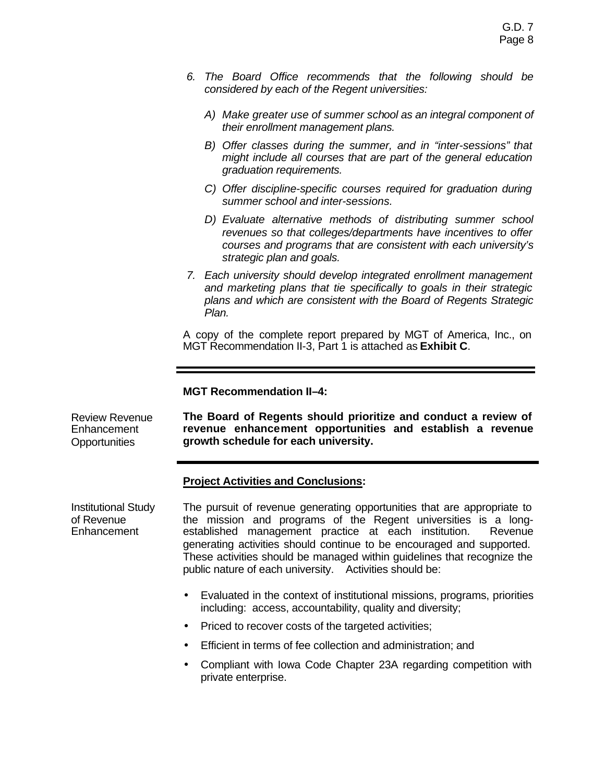- *6. The Board Office recommends that the following should be considered by each of the Regent universities:* 
	- *A) Make greater use of summer school as an integral component of their enrollment management plans.*
	- *B) Offer classes during the summer, and in "inter-sessions" that might include all courses that are part of the general education graduation requirements.*
	- *C) Offer discipline-specific courses required for graduation during summer school and inter-sessions.*
	- *D) Evaluate alternative methods of distributing summer school revenues so that colleges/departments have incentives to offer courses and programs that are consistent with each university's strategic plan and goals.*
- *7. Each university should develop integrated enrollment management and marketing plans that tie specifically to goals in their strategic plans and which are consistent with the Board of Regents Strategic Plan.*

A copy of the complete report prepared by MGT of America, Inc., on MGT Recommendation II-3, Part 1 is attached as **Exhibit C**.

#### **MGT Recommendation II–4:**

Review Revenue Enhancement **Opportunities The Board of Regents should prioritize and conduct a review of revenue enhancement opportunities and establish a revenue growth schedule for each university.**

### **Project Activities and Conclusions:**

Institutional Study of Revenue **Enhancement** 

The pursuit of revenue generating opportunities that are appropriate to the mission and programs of the Regent universities is a longestablished management practice at each institution. Revenue generating activities should continue to be encouraged and supported. These activities should be managed within guidelines that recognize the public nature of each university. Activities should be:

- Evaluated in the context of institutional missions, programs, priorities including: access, accountability, quality and diversity;
- Priced to recover costs of the targeted activities;
- Efficient in terms of fee collection and administration; and
- Compliant with Iowa Code Chapter 23A regarding competition with private enterprise.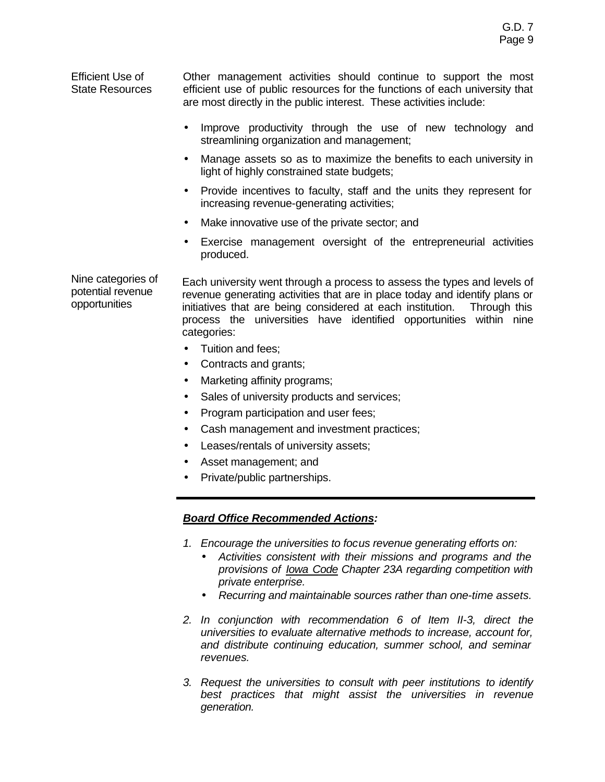Efficient Use of State Resources Other management activities should continue to support the most efficient use of public resources for the functions of each university that are most directly in the public interest. These activities include:

- Improve productivity through the use of new technology and streamlining organization and management;
- Manage assets so as to maximize the benefits to each university in light of highly constrained state budgets;
- Provide incentives to faculty, staff and the units they represent for increasing revenue-generating activities;
- Make innovative use of the private sector; and
- Exercise management oversight of the entrepreneurial activities produced.

Nine categories of potential revenue opportunities

Each university went through a process to assess the types and levels of revenue generating activities that are in place today and identify plans or initiatives that are being considered at each institution. Through this process the universities have identified opportunities within nine categories:

- Tuition and fees;
- Contracts and grants;
- Marketing affinity programs;
- Sales of university products and services;
- Program participation and user fees;
- Cash management and investment practices;
- Leases/rentals of university assets;
- Asset management; and
- Private/public partnerships.

# *Board Office Recommended Actions:*

- *1. Encourage the universities to focus revenue generating efforts on:*
	- *Activities consistent with their missions and programs and the provisions of Iowa Code Chapter 23A regarding competition with private enterprise.*
	- *Recurring and maintainable sources rather than one-time assets.*
- *2. In conjunction with recommendation 6 of Item II-3, direct the universities to evaluate alternative methods to increase, account for, and distribute continuing education, summer school, and seminar revenues.*
- *3. Request the universities to consult with peer institutions to identify best practices that might assist the universities in revenue generation.*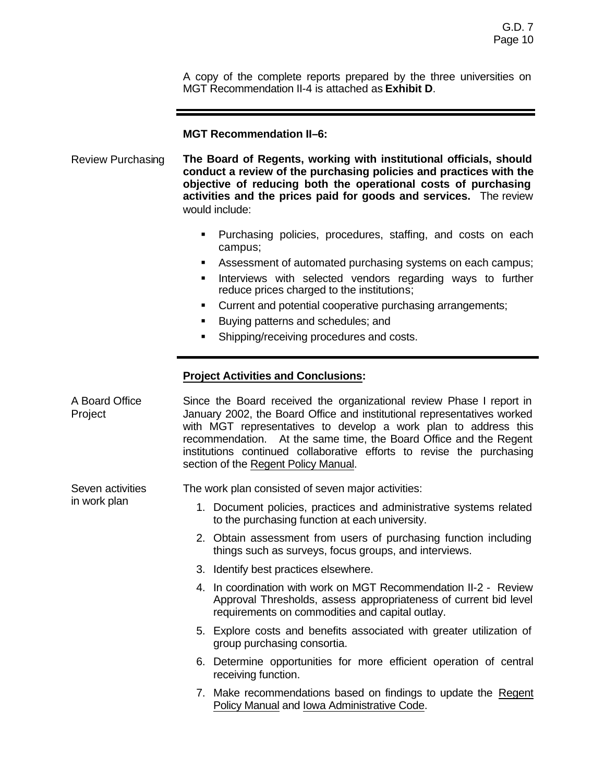A copy of the complete reports prepared by the three universities on MGT Recommendation II-4 is attached as **Exhibit D**.

#### **MGT Recommendation II–6:**

Review Purchasing **The Board of Regents, working with institutional officials, should conduct a review of the purchasing policies and practices with the objective of reducing both the operational costs of purchasing activities and the prices paid for goods and services.** The review would include:

- **Purchasing policies, procedures, staffing, and costs on each** campus;
- **EXECT** Assessment of automated purchasing systems on each campus;
- **Interviews with selected vendors regarding ways to further** reduce prices charged to the institutions;
- ß Current and potential cooperative purchasing arrangements;
- **Buying patterns and schedules; and**
- ß Shipping/receiving procedures and costs.

### **Project Activities and Conclusions:**

A Board Office Project Since the Board received the organizational review Phase I report in January 2002, the Board Office and institutional representatives worked with MGT representatives to develop a work plan to address this recommendation. At the same time, the Board Office and the Regent institutions continued collaborative efforts to revise the purchasing section of the Regent Policy Manual.

Seven activities The work plan consisted of seven major activities:

in work plan

- 1. Document policies, practices and administrative systems related to the purchasing function at each university.
- 2. Obtain assessment from users of purchasing function including things such as surveys, focus groups, and interviews.
- 3. Identify best practices elsewhere.
- 4. In coordination with work on MGT Recommendation II-2 Review Approval Thresholds, assess appropriateness of current bid level requirements on commodities and capital outlay.
- 5. Explore costs and benefits associated with greater utilization of group purchasing consortia.
- 6. Determine opportunities for more efficient operation of central receiving function.
- 7. Make recommendations based on findings to update the Regent Policy Manual and Iowa Administrative Code.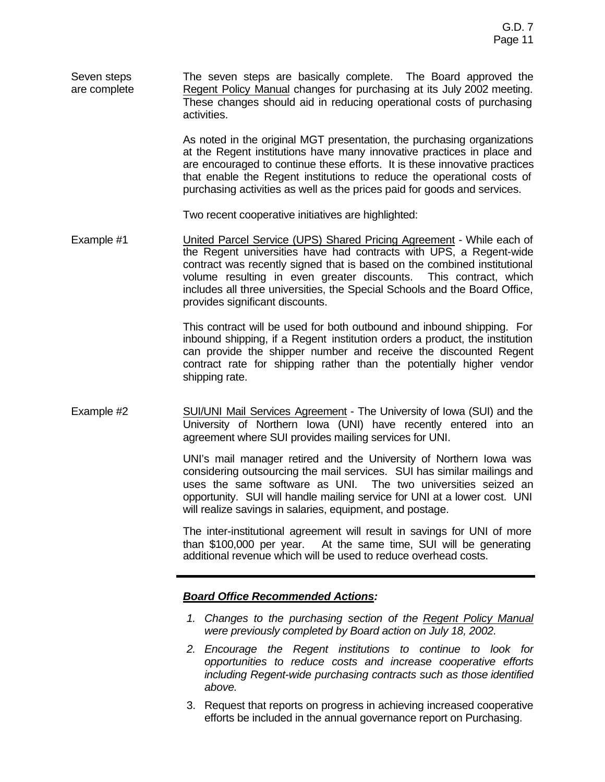Seven steps are complete The seven steps are basically complete. The Board approved the Regent Policy Manual changes for purchasing at its July 2002 meeting. These changes should aid in reducing operational costs of purchasing activities.

> As noted in the original MGT presentation, the purchasing organizations at the Regent institutions have many innovative practices in place and are encouraged to continue these efforts. It is these innovative practices that enable the Regent institutions to reduce the operational costs of purchasing activities as well as the prices paid for goods and services.

Two recent cooperative initiatives are highlighted:

Example #1 United Parcel Service (UPS) Shared Pricing Agreement - While each of the Regent universities have had contracts with UPS, a Regent-wide contract was recently signed that is based on the combined institutional volume resulting in even greater discounts. This contract, which includes all three universities, the Special Schools and the Board Office, provides significant discounts.

> This contract will be used for both outbound and inbound shipping. For inbound shipping, if a Regent institution orders a product, the institution can provide the shipper number and receive the discounted Regent contract rate for shipping rather than the potentially higher vendor shipping rate.

Example #2 SUI/UNI Mail Services Agreement - The University of Iowa (SUI) and the University of Northern Iowa (UNI) have recently entered into an agreement where SUI provides mailing services for UNI.

> UNI's mail manager retired and the University of Northern Iowa was considering outsourcing the mail services. SUI has similar mailings and uses the same software as UNI. The two universities seized an opportunity. SUI will handle mailing service for UNI at a lower cost. UNI will realize savings in salaries, equipment, and postage.

> The inter-institutional agreement will result in savings for UNI of more than \$100,000 per year. At the same time, SUI will be generating additional revenue which will be used to reduce overhead costs.

### *Board Office Recommended Actions:*

- *1. Changes to the purchasing section of the Regent Policy Manual were previously completed by Board action on July 18, 2002.*
- *2. Encourage the Regent institutions to continue to look for opportunities to reduce costs and increase cooperative efforts including Regent-wide purchasing contracts such as those identified above.*
- 3. Request that reports on progress in achieving increased cooperative efforts be included in the annual governance report on Purchasing.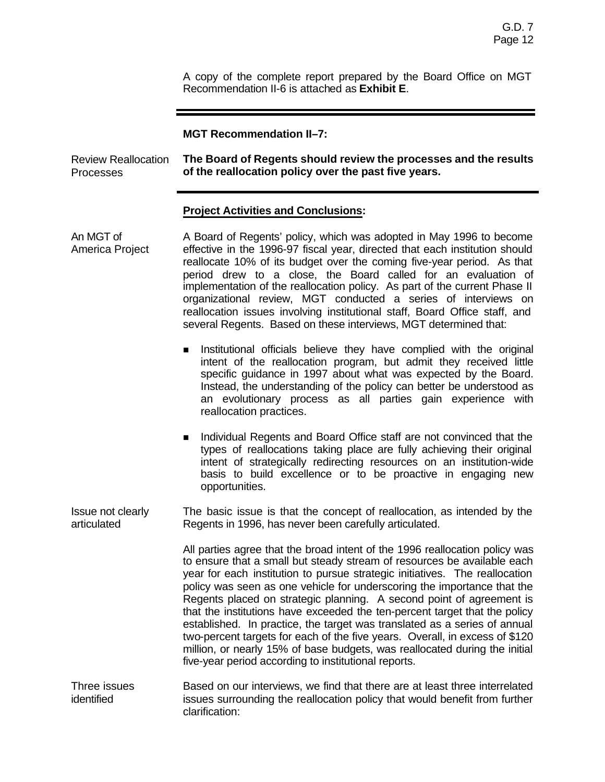A copy of the complete report prepared by the Board Office on MGT Recommendation II-6 is attached as **Exhibit E**.

#### **MGT Recommendation II–7:**

Review Reallocation Processes **The Board of Regents should review the processes and the results of the reallocation policy over the past five years.**

## **Project Activities and Conclusions:**

| An MGT of<br>America Project     | A Board of Regents' policy, which was adopted in May 1996 to become<br>effective in the 1996-97 fiscal year, directed that each institution should<br>reallocate 10% of its budget over the coming five-year period. As that<br>period drew to a close, the Board called for an evaluation of<br>implementation of the reallocation policy. As part of the current Phase II<br>organizational review, MGT conducted a series of interviews on<br>reallocation issues involving institutional staff, Board Office staff, and<br>several Regents. Based on these interviews, MGT determined that:                                                                                                                                                                          |
|----------------------------------|--------------------------------------------------------------------------------------------------------------------------------------------------------------------------------------------------------------------------------------------------------------------------------------------------------------------------------------------------------------------------------------------------------------------------------------------------------------------------------------------------------------------------------------------------------------------------------------------------------------------------------------------------------------------------------------------------------------------------------------------------------------------------|
|                                  | Institutional officials believe they have complied with the original<br>$\blacksquare$<br>intent of the reallocation program, but admit they received little<br>specific guidance in 1997 about what was expected by the Board.<br>Instead, the understanding of the policy can better be understood as<br>an evolutionary process as all parties gain experience with<br>reallocation practices.                                                                                                                                                                                                                                                                                                                                                                        |
|                                  | Individual Regents and Board Office staff are not convinced that the<br>$\blacksquare$<br>types of reallocations taking place are fully achieving their original<br>intent of strategically redirecting resources on an institution-wide<br>basis to build excellence or to be proactive in engaging new<br>opportunities.                                                                                                                                                                                                                                                                                                                                                                                                                                               |
| Issue not clearly<br>articulated | The basic issue is that the concept of reallocation, as intended by the<br>Regents in 1996, has never been carefully articulated.                                                                                                                                                                                                                                                                                                                                                                                                                                                                                                                                                                                                                                        |
|                                  | All parties agree that the broad intent of the 1996 reallocation policy was<br>to ensure that a small but steady stream of resources be available each<br>year for each institution to pursue strategic initiatives. The reallocation<br>policy was seen as one vehicle for underscoring the importance that the<br>Regents placed on strategic planning. A second point of agreement is<br>that the institutions have exceeded the ten-percent target that the policy<br>established. In practice, the target was translated as a series of annual<br>two-percent targets for each of the five years. Overall, in excess of \$120<br>million, or nearly 15% of base budgets, was reallocated during the initial<br>five-year period according to institutional reports. |
| Three issues<br>identified       | Based on our interviews, we find that there are at least three interrelated<br>issues surrounding the reallocation policy that would benefit from further<br>clarification:                                                                                                                                                                                                                                                                                                                                                                                                                                                                                                                                                                                              |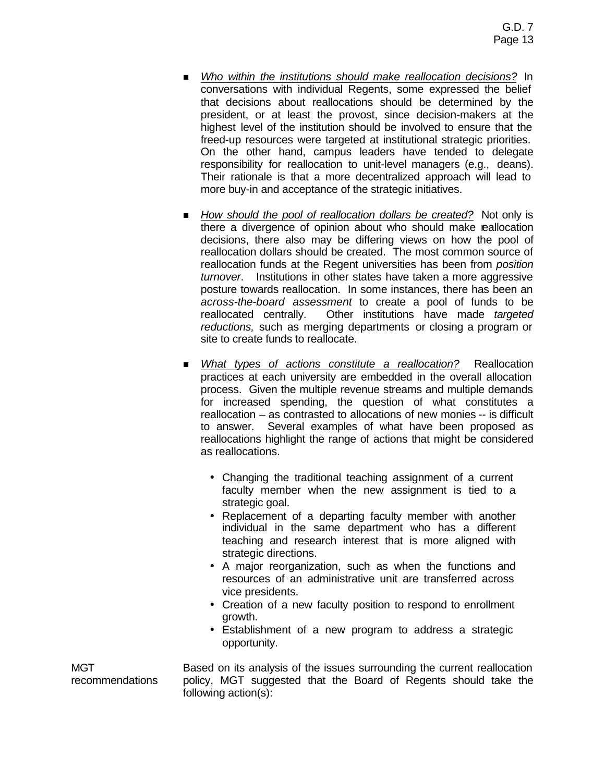- n *Who within the institutions should make reallocation decisions?* In conversations with individual Regents, some expressed the belief that decisions about reallocations should be determined by the president, or at least the provost, since decision-makers at the highest level of the institution should be involved to ensure that the freed-up resources were targeted at institutional strategic priorities. On the other hand, campus leaders have tended to delegate responsibility for reallocation to unit-level managers (e.g., deans). Their rationale is that a more decentralized approach will lead to more buy-in and acceptance of the strategic initiatives.
- *How should the pool of reallocation dollars be created?* Not only is there a divergence of opinion about who should make reallocation decisions, there also may be differing views on how the pool of reallocation dollars should be created. The most common source of reallocation funds at the Regent universities has been from *position turnover*. Institutions in other states have taken a more aggressive posture towards reallocation. In some instances, there has been an *across-the-board assessment* to create a pool of funds to be reallocated centrally. Other institutions have made *targeted reductions,* such as merging departments or closing a program or site to create funds to reallocate.
- n *What types of actions constitute a reallocation?* Reallocation practices at each university are embedded in the overall allocation process. Given the multiple revenue streams and multiple demands for increased spending, the question of what constitutes a reallocation – as contrasted to allocations of new monies -- is difficult to answer. Several examples of what have been proposed as reallocations highlight the range of actions that might be considered as reallocations.
	- Changing the traditional teaching assignment of a current faculty member when the new assignment is tied to a strategic goal.
	- Replacement of a departing faculty member with another individual in the same department who has a different teaching and research interest that is more aligned with strategic directions.
	- A major reorganization, such as when the functions and resources of an administrative unit are transferred across vice presidents.
	- Creation of a new faculty position to respond to enrollment growth.
	- Establishment of a new program to address a strategic opportunity.

Based on its analysis of the issues surrounding the current reallocation policy, MGT suggested that the Board of Regents should take the following action(s):

MGT recommendations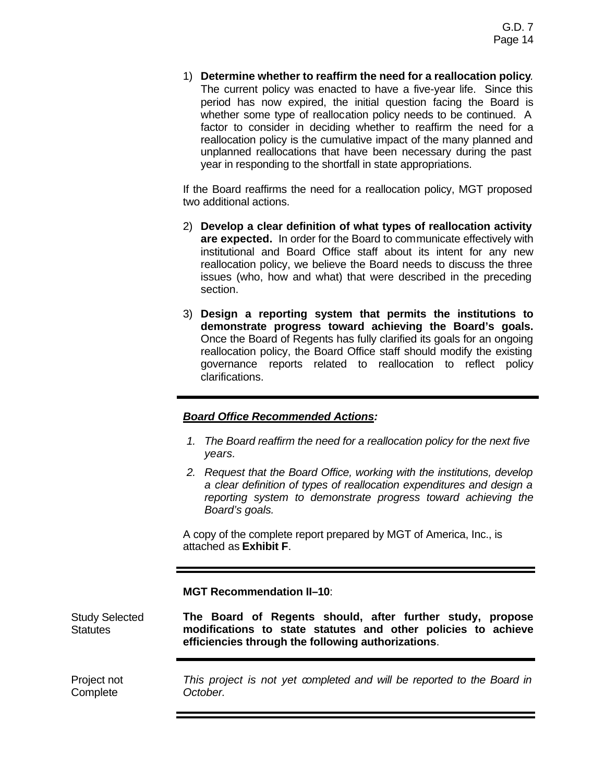1) **Determine whether to reaffirm the need for a reallocation policy***.* The current policy was enacted to have a five-year life. Since this period has now expired, the initial question facing the Board is whether some type of reallocation policy needs to be continued. A factor to consider in deciding whether to reaffirm the need for a reallocation policy is the cumulative impact of the many planned and unplanned reallocations that have been necessary during the past year in responding to the shortfall in state appropriations.

If the Board reaffirms the need for a reallocation policy, MGT proposed two additional actions.

- 2) **Develop a clear definition of what types of reallocation activity are expected.** In order for the Board to communicate effectively with institutional and Board Office staff about its intent for any new reallocation policy, we believe the Board needs to discuss the three issues (who, how and what) that were described in the preceding section.
- 3) **Design a reporting system that permits the institutions to demonstrate progress toward achieving the Board's goals.** Once the Board of Regents has fully clarified its goals for an ongoing reallocation policy, the Board Office staff should modify the existing governance reports related to reallocation to reflect policy clarifications.

# *Board Office Recommended Actions:*

- *1. The Board reaffirm the need for a reallocation policy for the next five years.*
- *2. Request that the Board Office, working with the institutions, develop a clear definition of types of reallocation expenditures and design a reporting system to demonstrate progress toward achieving the Board's goals.*

A copy of the complete report prepared by MGT of America, Inc., is attached as **Exhibit F**.

**MGT Recommendation II–10**:

Study Selected **Statutes The Board of Regents should, after further study, propose modifications to state statutes and other policies to achieve efficiencies through the following authorizations**.

Project not **Complete** *This project is not yet completed and will be reported to the Board in October.*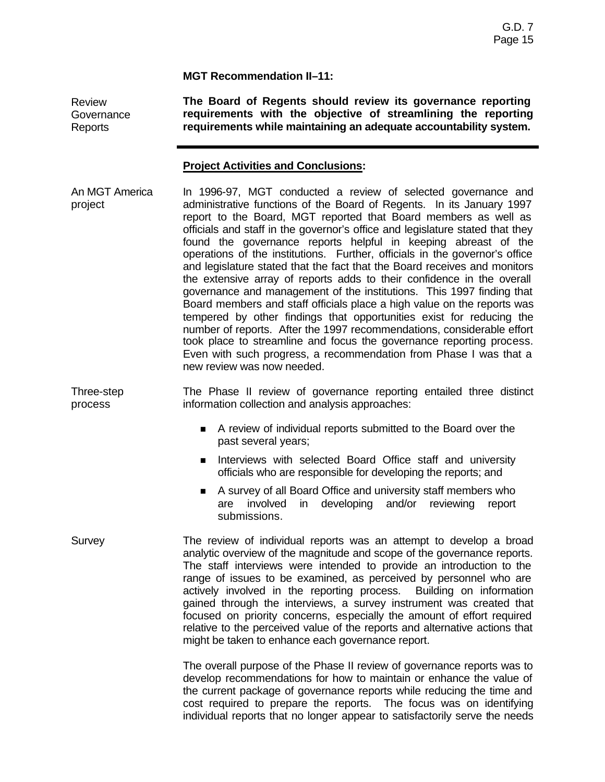**MGT Recommendation II–11:**

Review **Governance** Reports

**The Board of Regents should review its governance reporting requirements with the objective of streamlining the reporting requirements while maintaining an adequate accountability system.**

# **Project Activities and Conclusions:**

An MGT America project In 1996-97, MGT conducted a review of selected governance and administrative functions of the Board of Regents. In its January 1997 report to the Board, MGT reported that Board members as well as officials and staff in the governor's office and legislature stated that they found the governance reports helpful in keeping abreast of the operations of the institutions. Further, officials in the governor's office and legislature stated that the fact that the Board receives and monitors the extensive array of reports adds to their confidence in the overall governance and management of the institutions. This 1997 finding that Board members and staff officials place a high value on the reports was tempered by other findings that opportunities exist for reducing the number of reports. After the 1997 recommendations, considerable effort took place to streamline and focus the governance reporting process. Even with such progress, a recommendation from Phase I was that a new review was now needed.

Three-step process The Phase II review of governance reporting entailed three distinct information collection and analysis approaches:

- n A review of individual reports submitted to the Board over the past several years;
- **n** Interviews with selected Board Office staff and university officials who are responsible for developing the reports; and
- A survey of all Board Office and university staff members who are involved in developing and/or reviewing report submissions.
- Survey The review of individual reports was an attempt to develop a broad analytic overview of the magnitude and scope of the governance reports. The staff interviews were intended to provide an introduction to the range of issues to be examined, as perceived by personnel who are actively involved in the reporting process. Building on information gained through the interviews, a survey instrument was created that focused on priority concerns, especially the amount of effort required relative to the perceived value of the reports and alternative actions that might be taken to enhance each governance report.

The overall purpose of the Phase II review of governance reports was to develop recommendations for how to maintain or enhance the value of the current package of governance reports while reducing the time and cost required to prepare the reports. The focus was on identifying individual reports that no longer appear to satisfactorily serve the needs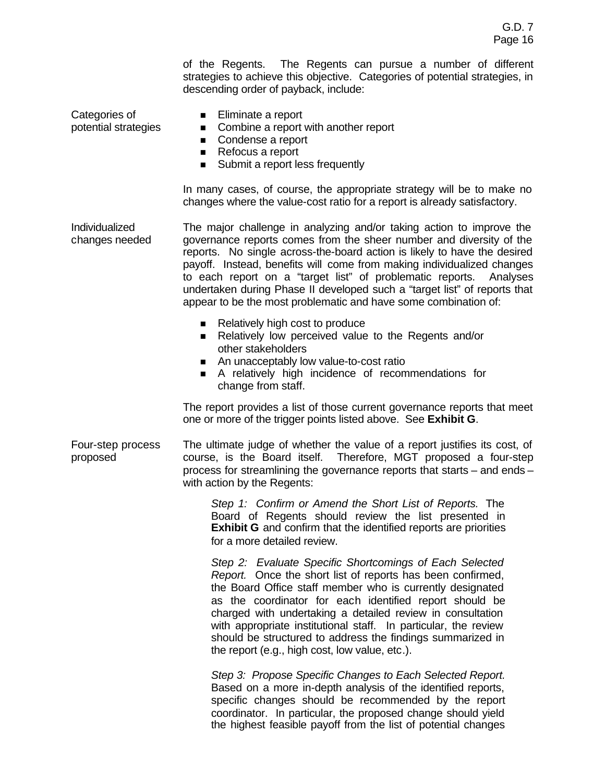of the Regents. The Regents can pursue a number of different strategies to achieve this objective. Categories of potential strategies, in descending order of payback, include:

Categories of potential strategies

- Eliminate a report
- Combine a report with another report
- Condense a report
- Refocus a report
- Submit a report less frequently

In many cases, of course, the appropriate strategy will be to make no changes where the value-cost ratio for a report is already satisfactory.

Individualized changes needed The major challenge in analyzing and/or taking action to improve the governance reports comes from the sheer number and diversity of the reports. No single across-the-board action is likely to have the desired payoff. Instead, benefits will come from making individualized changes to each report on a "target list" of problematic reports. Analyses undertaken during Phase II developed such a "target list" of reports that appear to be the most problematic and have some combination of:

- $\blacksquare$  Relatively high cost to produce
- Relatively low perceived value to the Regents and/or other stakeholders
- An unacceptably low value-to-cost ratio
- n A relatively high incidence of recommendations for change from staff.

The report provides a list of those current governance reports that meet one or more of the trigger points listed above. See **Exhibit G**.

Four-step process proposed

The ultimate judge of whether the value of a report justifies its cost, of course, is the Board itself. Therefore, MGT proposed a four-step process for streamlining the governance reports that starts – and ends – with action by the Regents:

*Step 1: Confirm or Amend the Short List of Reports.* The Board of Regents should review the list presented in **Exhibit G** and confirm that the identified reports are priorities for a more detailed review.

*Step 2: Evaluate Specific Shortcomings of Each Selected Report.* Once the short list of reports has been confirmed, the Board Office staff member who is currently designated as the coordinator for each identified report should be charged with undertaking a detailed review in consultation with appropriate institutional staff. In particular, the review should be structured to address the findings summarized in the report (e.g., high cost, low value, etc.).

*Step 3: Propose Specific Changes to Each Selected Report.* Based on a more in-depth analysis of the identified reports, specific changes should be recommended by the report coordinator. In particular, the proposed change should yield the highest feasible payoff from the list of potential changes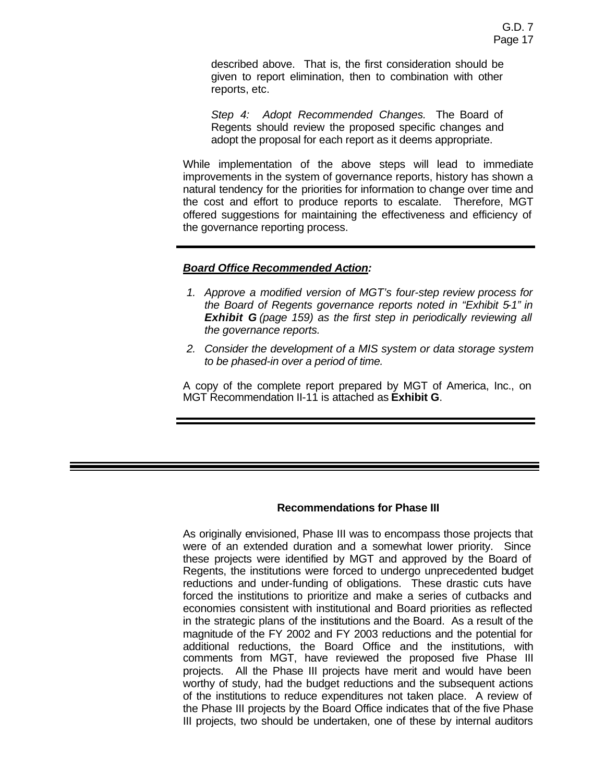described above. That is, the first consideration should be given to report elimination, then to combination with other reports, etc.

*Step 4: Adopt Recommended Changes.* The Board of Regents should review the proposed specific changes and adopt the proposal for each report as it deems appropriate.

While implementation of the above steps will lead to immediate improvements in the system of governance reports, history has shown a natural tendency for the priorities for information to change over time and the cost and effort to produce reports to escalate. Therefore, MGT offered suggestions for maintaining the effectiveness and efficiency of the governance reporting process.

### *Board Office Recommended Action:*

- *1. Approve a modified version of MGT's four-step review process for the Board of Regents governance reports noted in "Exhibit 5-1" in Exhibit G (page 159) as the first step in periodically reviewing all the governance reports.*
- *2. Consider the development of a MIS system or data storage system to be phased-in over a period of time.*

A copy of the complete report prepared by MGT of America, Inc., on MGT Recommendation II-11 is attached as **Exhibit G**.

# **Recommendations for Phase III**

As originally envisioned, Phase III was to encompass those projects that were of an extended duration and a somewhat lower priority. Since these projects were identified by MGT and approved by the Board of Regents, the institutions were forced to undergo unprecedented budget reductions and under-funding of obligations. These drastic cuts have forced the institutions to prioritize and make a series of cutbacks and economies consistent with institutional and Board priorities as reflected in the strategic plans of the institutions and the Board. As a result of the magnitude of the FY 2002 and FY 2003 reductions and the potential for additional reductions, the Board Office and the institutions, with comments from MGT, have reviewed the proposed five Phase III projects. All the Phase III projects have merit and would have been worthy of study, had the budget reductions and the subsequent actions of the institutions to reduce expenditures not taken place. A review of the Phase III projects by the Board Office indicates that of the five Phase III projects, two should be undertaken, one of these by internal auditors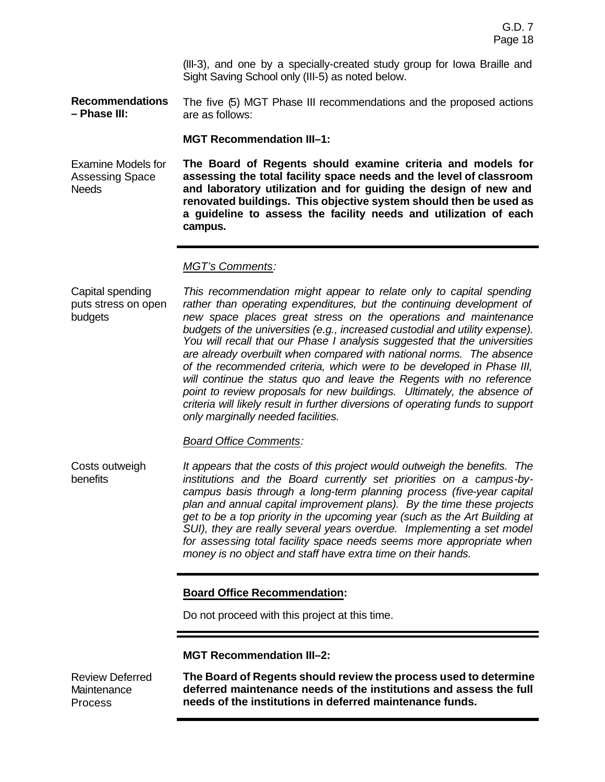(III-3), and one by a specially-created study group for Iowa Braille and Sight Saving School only (III-5) as noted below.

**Recommendations – Phase III:** The five (5) MGT Phase III recommendations and the proposed actions are as follows:

**MGT Recommendation III–1:**

Examine Models for Assessing Space **Needs The Board of Regents should examine criteria and models for assessing the total facility space needs and the level of classroom and laboratory utilization and for guiding the design of new and renovated buildings. This objective system should then be used as a guideline to assess the facility needs and utilization of each campus.**

#### *MGT's Comments:*

Capital spending puts stress on open budgets *This recommendation might appear to relate only to capital spending rather than operating expenditures, but the continuing development of new space places great stress on the operations and maintenance budgets of the universities (e.g., increased custodial and utility expense). You will recall that our Phase I analysis suggested that the universities are already overbuilt when compared with national norms. The absence of the recommended criteria, which were to be developed in Phase III, will continue the status quo and leave the Regents with no reference point to review proposals for new buildings. Ultimately, the absence of criteria will likely result in further diversions of operating funds to support only marginally needed facilities.*

*Board Office Comments:*

Costs outweigh benefits *It appears that the costs of this project would outweigh the benefits. The institutions and the Board currently set priorities on a campus-bycampus basis through a long-term planning process (five-year capital plan and annual capital improvement plans). By the time these projects get to be a top priority in the upcoming year (such as the Art Building at SUI), they are really several years overdue. Implementing a set model for assessing total facility space needs seems more appropriate when money is no object and staff have extra time on their hands.*

### **Board Office Recommendation:**

Do not proceed with this project at this time.

**MGT Recommendation III–2:**

Review Deferred **Maintenance** Process **The Board of Regents should review the process used to determine deferred maintenance needs of the institutions and assess the full needs of the institutions in deferred maintenance funds.**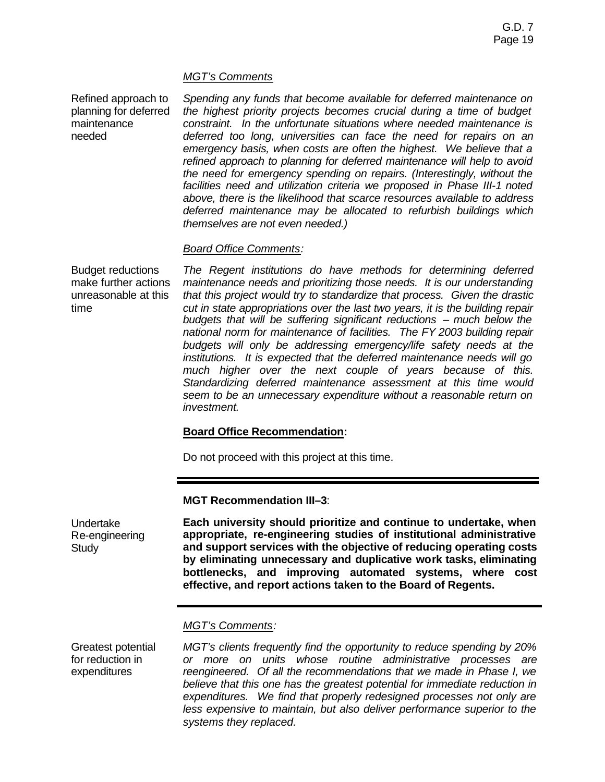### *MGT's Comments*

Refined approach to planning for deferred maintenance needed

*Spending any funds that become available for deferred maintenance on the highest priority projects becomes crucial during a time of budget constraint. In the unfortunate situations where needed maintenance is deferred too long, universities can face the need for repairs on an emergency basis, when costs are often the highest. We believe that a refined approach to planning for deferred maintenance will help to avoid the need for emergency spending on repairs. (Interestingly, without the facilities need and utilization criteria we proposed in Phase III-1 noted above, there is the likelihood that scarce resources available to address deferred maintenance may be allocated to refurbish buildings which themselves are not even needed.)*

#### *Board Office Comments:*

Budget reductions make further actions unreasonable at this time

*The Regent institutions do have methods for determining deferred maintenance needs and prioritizing those needs. It is our understanding that this project would try to standardize that process. Given the drastic cut in state appropriations over the last two years, it is the building repair budgets that will be suffering significant reductions – much below the national norm for maintenance of facilities. The FY 2003 building repair budgets will only be addressing emergency/life safety needs at the institutions. It is expected that the deferred maintenance needs will go much higher over the next couple of years because of this. Standardizing deferred maintenance assessment at this time would seem to be an unnecessary expenditure without a reasonable return on investment.*

### **Board Office Recommendation:**

Do not proceed with this project at this time.

**MGT Recommendation III–3**:

Undertake Re-engineering **Study** 

**Each university should prioritize and continue to undertake, when appropriate, re-engineering studies of institutional administrative and support services with the objective of reducing operating costs by eliminating unnecessary and duplicative work tasks, eliminating bottlenecks, and improving automated systems, where cost effective, and report actions taken to the Board of Regents.**

### *MGT's Comments:*

Greatest potential for reduction in expenditures

*MGT's clients frequently find the opportunity to reduce spending by 20% or more on units whose routine administrative processes are reengineered. Of all the recommendations that we made in Phase I, we believe that this one has the greatest potential for immediate reduction in expenditures. We find that properly redesigned processes not only are less expensive to maintain, but also deliver performance superior to the systems they replaced.*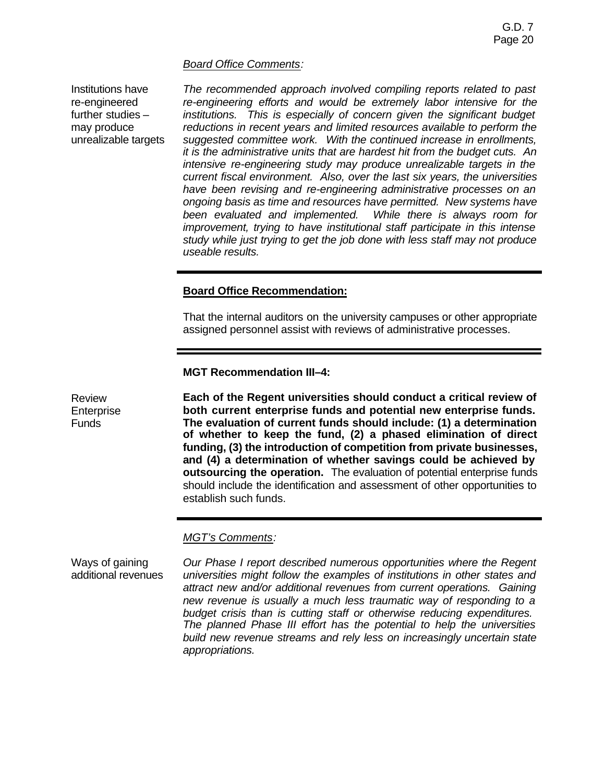#### *Board Office Comments:*

Institutions have re-engineered further studies – may produce unrealizable targets

*The recommended approach involved compiling reports related to past re-engineering efforts and would be extremely labor intensive for the institutions. This is especially of concern given the significant budget reductions in recent years and limited resources available to perform the suggested committee work. With the continued increase in enrollments, it is the administrative units that are hardest hit from the budget cuts. An intensive re-engineering study may produce unrealizable targets in the current fiscal environment. Also, over the last six years, the universities have been revising and re-engineering administrative processes on an ongoing basis as time and resources have permitted. New systems have been evaluated and implemented. While there is always room for improvement, trying to have institutional staff participate in this intense study while just trying to get the job done with less staff may not produce useable results.* 

# **Board Office Recommendation:**

That the internal auditors on the university campuses or other appropriate assigned personnel assist with reviews of administrative processes.

**MGT Recommendation III–4:**

Review **Enterprise** Funds

**Each of the Regent universities should conduct a critical review of both current enterprise funds and potential new enterprise funds. The evaluation of current funds should include: (1) a determination of whether to keep the fund, (2) a phased elimination of direct funding, (3) the introduction of competition from private businesses, and (4) a determination of whether savings could be achieved by outsourcing the operation.** The evaluation of potential enterprise funds should include the identification and assessment of other opportunities to establish such funds.

### *MGT's Comments:*

Ways of gaining additional revenues

*Our Phase I report described numerous opportunities where the Regent universities might follow the examples of institutions in other states and attract new and/or additional revenues from current operations. Gaining new revenue is usually a much less traumatic way of responding to a budget crisis than is cutting staff or otherwise reducing expenditures. The planned Phase III effort has the potential to help the universities build new revenue streams and rely less on increasingly uncertain state appropriations.*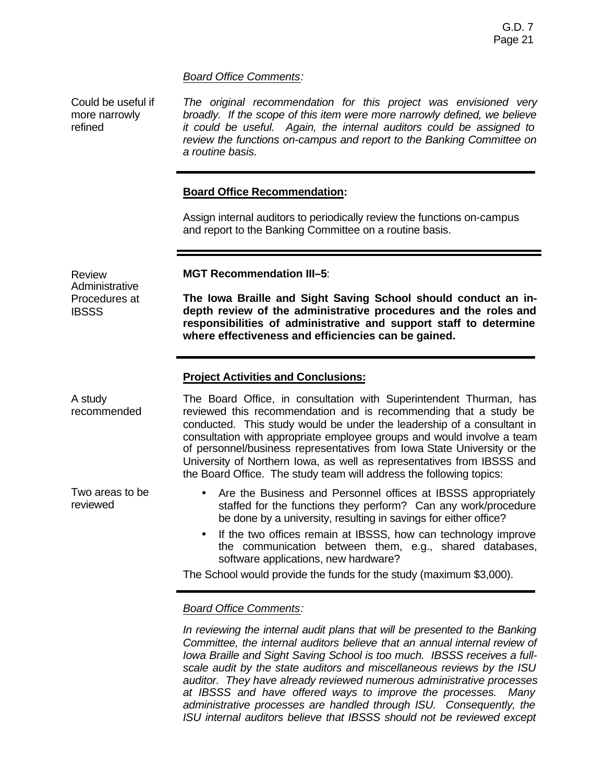## *Board Office Comments:*

Could be useful if more narrowly refined

Review

**IBSSS** 

**Administrative** Procedures at

Two areas to be

reviewed

*The original recommendation for this project was envisioned very broadly. If the scope of this item were more narrowly defined, we believe it could be useful. Again, the internal auditors could be assigned to review the functions on-campus and report to the Banking Committee on a routine basis.*

## **Board Office Recommendation:**

Assign internal auditors to periodically review the functions on-campus and report to the Banking Committee on a routine basis.

**MGT Recommendation III–5**:

**The Iowa Braille and Sight Saving School should conduct an indepth review of the administrative procedures and the roles and responsibilities of administrative and support staff to determine where effectiveness and efficiencies can be gained.**

## **Project Activities and Conclusions:**

A study recommended The Board Office, in consultation with Superintendent Thurman, has reviewed this recommendation and is recommending that a study be conducted. This study would be under the leadership of a consultant in consultation with appropriate employee groups and would involve a team of personnel/business representatives from Iowa State University or the University of Northern Iowa, as well as representatives from IBSSS and the Board Office. The study team will address the following topics:

- Are the Business and Personnel offices at IBSSS appropriately staffed for the functions they perform? Can any work/procedure be done by a university, resulting in savings for either office?
- If the two offices remain at IBSSS, how can technology improve the communication between them, e.g., shared databases, software applications, new hardware?

The School would provide the funds for the study (maximum \$3,000).

# *Board Office Comments:*

In reviewing the internal audit plans that will be presented to the Banking *Committee, the internal auditors believe that an annual internal review of Iowa Braille and Sight Saving School is too much. IBSSS receives a fullscale audit by the state auditors and miscellaneous reviews by the ISU auditor. They have already reviewed numerous administrative processes at IBSSS and have offered ways to improve the processes. Many administrative processes are handled through ISU. Consequently, the ISU internal auditors believe that IBSSS should not be reviewed except*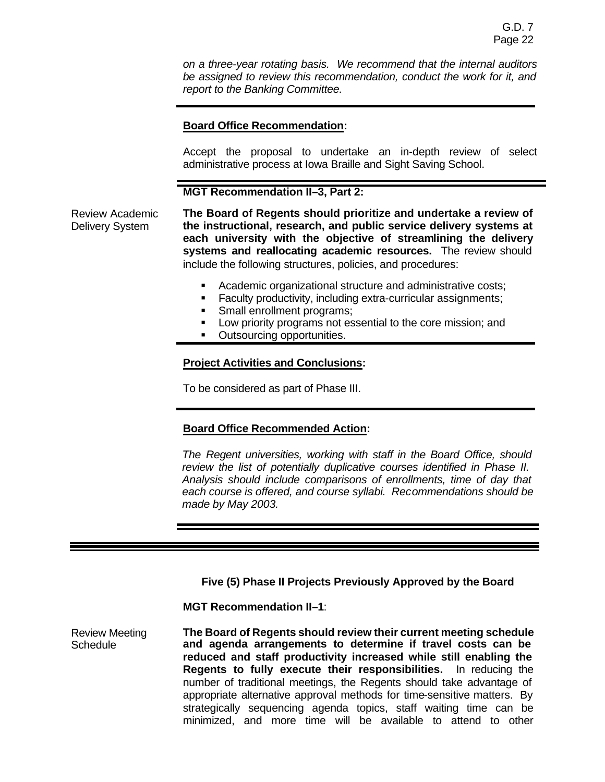*on a three-year rotating basis. We recommend that the internal auditors be assigned to review this recommendation, conduct the work for it, and report to the Banking Committee.*

## **Board Office Recommendation:**

Accept the proposal to undertake an in-depth review of select administrative process at Iowa Braille and Sight Saving School.

## **MGT Recommendation II–3, Part 2:**

Review Academic Delivery System

**The Board of Regents should prioritize and undertake a review of the instructional, research, and public service delivery systems at each university with the objective of streamlining the delivery systems and reallocating academic resources.** The review should include the following structures, policies, and procedures:

- ß Academic organizational structure and administrative costs;
- **Faculty productivity, including extra-curricular assignments;**
- Small enrollment programs:
- **EXECT** Low priority programs not essential to the core mission; and
- Outsourcing opportunities.

### **Project Activities and Conclusions:**

To be considered as part of Phase III.

### **Board Office Recommended Action:**

*The Regent universities, working with staff in the Board Office, should review the list of potentially duplicative courses identified in Phase II. Analysis should include comparisons of enrollments, time of day that each course is offered, and course syllabi. Recommendations should be made by May 2003.*

**Five (5) Phase II Projects Previously Approved by the Board**

**MGT Recommendation II–1**:

Review Meeting **Schedule The Board of Regents should review their current meeting schedule and agenda arrangements to determine if travel costs can be reduced and staff productivity increased while still enabling the Regents to fully execute their responsibilities.** In reducing the number of traditional meetings, the Regents should take advantage of appropriate alternative approval methods for time-sensitive matters. By strategically sequencing agenda topics, staff waiting time can be minimized, and more time will be available to attend to other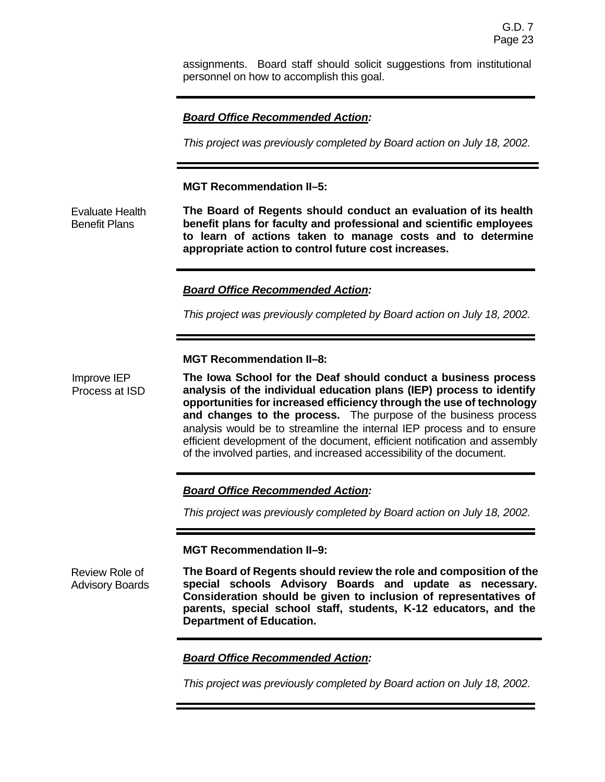assignments. Board staff should solicit suggestions from institutional personnel on how to accomplish this goal.

# *Board Office Recommended Action:*

*This project was previously completed by Board action on July 18, 2002.*

## **MGT Recommendation II–5:**

Evaluate Health Benefit Plans **The Board of Regents should conduct an evaluation of its health benefit plans for faculty and professional and scientific employees to learn of actions taken to manage costs and to determine appropriate action to control future cost increases.** 

# *Board Office Recommended Action:*

*This project was previously completed by Board action on July 18, 2002.*

## **MGT Recommendation II–8:**

Improve IEP Process at ISD **The Iowa School for the Deaf should conduct a business process analysis of the individual education plans (IEP) process to identify opportunities for increased efficiency through the use of technology and changes to the process.** The purpose of the business process analysis would be to streamline the internal IEP process and to ensure efficient development of the document, efficient notification and assembly of the involved parties, and increased accessibility of the document.

### *Board Office Recommended Action:*

*This project was previously completed by Board action on July 18, 2002.*

### **MGT Recommendation II–9:**

Review Role of Advisory Boards **The Board of Regents should review the role and composition of the special schools Advisory Boards and update as necessary. Consideration should be given to inclusion of representatives of parents, special school staff, students, K-12 educators, and the Department of Education.**

# *Board Office Recommended Action:*

*This project was previously completed by Board action on July 18, 2002.*